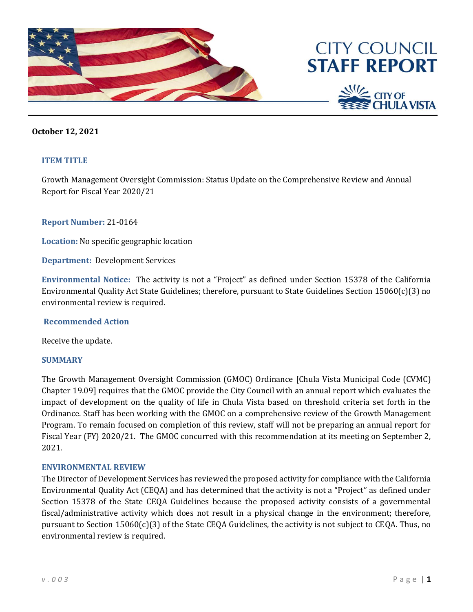





## **October 12, 2021**

### **ITEM TITLE**

Growth Management Oversight Commission: Status Update on the Comprehensive Review and Annual Report for Fiscal Year 2020/21

### **Report Number:** 21-0164

**Location:** No specific geographic location

**Department:** Development Services

**Environmental Notice:** The activity is not a "Project" as defined under Section 15378 of the California Environmental Quality Act State Guidelines; therefore, pursuant to State Guidelines Section 15060(c)(3) no environmental review is required.

### **Recommended Action**

Receive the update.

### **SUMMARY**

The Growth Management Oversight Commission (GMOC) Ordinance [Chula Vista Municipal Code (CVMC) Chapter 19.09] requires that the GMOC provide the City Council with an annual report which evaluates the impact of development on the quality of life in Chula Vista based on threshold criteria set forth in the Ordinance. Staff has been working with the GMOC on a comprehensive review of the Growth Management Program. To remain focused on completion of this review, staff will not be preparing an annual report for Fiscal Year (FY) 2020/21. The GMOC concurred with this recommendation at its meeting on September 2, 2021.

### **ENVIRONMENTAL REVIEW**

The Director of Development Services has reviewed the proposed activity for compliance with the California Environmental Quality Act (CEQA) and has determined that the activity is not a "Project" as defined under Section 15378 of the State CEQA Guidelines because the proposed activity consists of a governmental fiscal/administrative activity which does not result in a physical change in the environment; therefore, pursuant to Section 15060(c)(3) of the State CEQA Guidelines, the activity is not subject to CEQA. Thus, no environmental review is required.